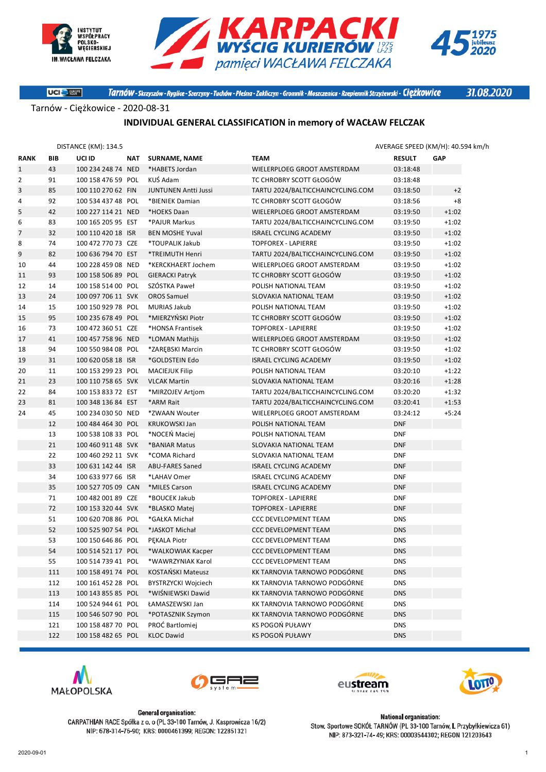

**UCI** Stuart





Tarnów - Skrzyszów - Ryglice - Szerzyny - Tuchów - Pleśna - Zakliczyn - Gromnik - Moszczenica - Rzepiennik Strzyżewski - Ciężkowice

31.08.2020

Tarnów - Ciężkowice - 2020-08-31

#### **INDIVIDUAL GENERAL CLASSIFICATION in memory of WACŁAW FELCZAK**

|                |     | <b>DISTANCE (KM): 134.5</b> |                             |                                   |               | AVERAGE SPEED (KM/H): 40.594 km/h |
|----------------|-----|-----------------------------|-----------------------------|-----------------------------------|---------------|-----------------------------------|
| <b>RANK</b>    | BIB | UCI ID                      | NAT SURNAME, NAME           | <b>TEAM</b>                       | <b>RESULT</b> | <b>GAP</b>                        |
| $\mathbf{1}$   | 43  | 100 234 248 74 NED          | *HABETS Jordan              | WIELERPLOEG GROOT AMSTERDAM       | 03:18:48      |                                   |
| $\overline{2}$ | 91  | 100 158 476 59 POL          | KUŚ Adam                    | TC CHROBRY SCOTT GŁOGÓW           | 03:18:48      |                                   |
| 3              | 85  | 100 110 270 62 FIN          | <b>JUNTUNEN Antti Jussi</b> | TARTU 2024/BALTICCHAINCYCLING.COM | 03:18:50      | $+2$                              |
| 4              | 92  | 100 534 437 48 POL          | *BIENIEK Damian             | TC CHROBRY SCOTT GŁOGÓW           | 03:18:56      | $+8$                              |
| 5              | 42  | 100 227 114 21 NED          | *HOEKS Daan                 | WIELERPLOEG GROOT AMSTERDAM       | 03:19:50      | $+1:02$                           |
| 6              | 83  | 100 165 205 95 EST          | *PAJUR Markus               | TARTU 2024/BALTICCHAINCYCLING.COM | 03:19:50      | $+1:02$                           |
| $\overline{7}$ | 32  | 100 110 420 18 ISR          | <b>BEN MOSHE Yuval</b>      | <b>ISRAEL CYCLING ACADEMY</b>     | 03:19:50      | $+1:02$                           |
| 8              | 74  | 100 472 770 73 CZE          | *TOUPALIK Jakub             | <b>TOPFOREX - LAPIERRE</b>        | 03:19:50      | $+1:02$                           |
| 9              | 82  | 100 636 794 70 EST          | *TREIMUTH Henri             | TARTU 2024/BALTICCHAINCYCLING.COM | 03:19:50      | $+1:02$                           |
| 10             | 44  | 100 228 459 08 NED          | *KERCKHAERT Jochem          | WIELERPLOEG GROOT AMSTERDAM       | 03:19:50      | $+1:02$                           |
| 11             | 93  | 100 158 506 89 POL          | <b>GIERACKI Patryk</b>      | TC CHROBRY SCOTT GŁOGÓW           | 03:19:50      | $+1:02$                           |
| 12             | 14  | 100 158 514 00 POL          | SZÓSTKA Paweł               | POLISH NATIONAL TEAM              | 03:19:50      | $+1:02$                           |
| 13             | 24  | 100 097 706 11 SVK          | <b>OROS Samuel</b>          | SLOVAKIA NATIONAL TEAM            | 03:19:50      | $+1:02$                           |
| 14             | 15  | 100 150 929 78 POL          | <b>MURIAS Jakub</b>         | POLISH NATIONAL TEAM              | 03:19:50      | $+1:02$                           |
| 15             | 95  | 100 235 678 49 POL          | *MIERZYŃSKI Piotr           | TC CHROBRY SCOTT GŁOGÓW           | 03:19:50      | $+1:02$                           |
| 16             | 73  | 100 472 360 51 CZE          | *HONSA Frantisek            | <b>TOPFOREX - LAPIERRE</b>        | 03:19:50      | $+1:02$                           |
| 17             | 41  | 100 457 758 96 NED          | *LOMAN Mathijs              | WIELERPLOEG GROOT AMSTERDAM       | 03:19:50      | $+1:02$                           |
| 18             | 94  | 100 550 984 08 POL          | *ZAREBSKI Marcin            | TC CHROBRY SCOTT GŁOGÓW           | 03:19:50      | $+1:02$                           |
| 19             | 31  | 100 620 058 18 ISR          | *GOLDSTEIN Edo              | <b>ISRAEL CYCLING ACADEMY</b>     | 03:19:50      | $+1:02$                           |
| 20             | 11  | 100 153 299 23 POL          | <b>MACIEJUK Filip</b>       | POLISH NATIONAL TEAM              | 03:20:10      | $+1:22$                           |
| 21             | 23  | 100 110 758 65 SVK          | <b>VLCAK Martin</b>         | SLOVAKIA NATIONAL TEAM            | 03:20:16      | $+1:28$                           |
| 22             | 84  | 100 153 833 72 EST          | *MIRZOJEV Artjom            | TARTU 2024/BALTICCHAINCYCLING.COM | 03:20:20      | $+1:32$                           |
| 23             | 81  | 100 348 136 84 EST          | *ARM Rait                   | TARTU 2024/BALTICCHAINCYCLING.COM | 03:20:41      | $+1:53$                           |
| 24             | 45  | 100 234 030 50 NED          | *ZWAAN Wouter               | WIELERPLOEG GROOT AMSTERDAM       | 03:24:12      | $+5:24$                           |
|                | 12  | 100 484 464 30 POL          | <b>KRUKOWSKI Jan</b>        | POLISH NATIONAL TEAM              | <b>DNF</b>    |                                   |
|                | 13  | 100 538 108 33 POL          | *NOCEŃ Maciej               | POLISH NATIONAL TEAM              | <b>DNF</b>    |                                   |
|                | 21  | 100 460 911 48 SVK          | *BANIAR Matus               | SLOVAKIA NATIONAL TEAM            | <b>DNF</b>    |                                   |
|                | 22  | 100 460 292 11 SVK          | *COMA Richard               | SLOVAKIA NATIONAL TEAM            | <b>DNF</b>    |                                   |
|                | 33  | 100 631 142 44 ISR          | ABU-FARES Saned             | <b>ISRAEL CYCLING ACADEMY</b>     | <b>DNF</b>    |                                   |
|                | 34  | 100 633 977 66 ISR          | *LAHAV Omer                 | <b>ISRAEL CYCLING ACADEMY</b>     | <b>DNF</b>    |                                   |
|                | 35  | 100 527 705 09 CAN          | *MILES Carson               | <b>ISRAEL CYCLING ACADEMY</b>     | <b>DNF</b>    |                                   |
|                | 71  | 100 482 001 89 CZE          | *BOUCEK Jakub               | <b>TOPFOREX - LAPIERRE</b>        | <b>DNF</b>    |                                   |
|                | 72  | 100 153 320 44 SVK          | *BLASKO Matej               | <b>TOPFOREX - LAPIERRE</b>        | <b>DNF</b>    |                                   |
|                | 51  | 100 620 708 86 POL          | *GAŁKA Michał               | <b>CCC DEVELOPMENT TEAM</b>       | <b>DNS</b>    |                                   |
|                | 52  | 100 525 907 54 POL          | *JASKOT Michał              | <b>CCC DEVELOPMENT TEAM</b>       | <b>DNS</b>    |                                   |
|                | 53  | 100 150 646 86 POL          | PEKALA Piotr                | <b>CCC DEVELOPMENT TEAM</b>       | <b>DNS</b>    |                                   |
|                | 54  | 100 514 521 17 POL          | *WALKOWIAK Kacper           | CCC DEVELOPMENT TEAM              | <b>DNS</b>    |                                   |
|                | 55  | 100 514 739 41 POL          | *WAWRZYNIAK Karol           | <b>CCC DEVELOPMENT TEAM</b>       | <b>DNS</b>    |                                   |
|                | 111 | 100 158 491 74 POL          | KOSTAŃSKI Mateusz           | KK TARNOVIA TARNOWO PODGÓRNE      | <b>DNS</b>    |                                   |
|                | 112 | 100 161 452 28 POL          | <b>BYSTRZYCKI Wojciech</b>  | KK TARNOVIA TARNOWO PODGÓRNE      | <b>DNS</b>    |                                   |
|                | 113 | 100 143 855 85 POL          | *WIŚNIEWSKI Dawid           | KK TARNOVIA TARNOWO PODGÓRNE      | <b>DNS</b>    |                                   |
|                | 114 | 100 524 944 61 POL          | ŁAMASZEWSKI Jan             | KK TARNOVIA TARNOWO PODGÓRNE      | <b>DNS</b>    |                                   |
|                | 115 | 100 546 507 90 POL          | *POTASZNIK Szymon           | KK TARNOVIA TARNOWO PODGÓRNE      | <b>DNS</b>    |                                   |
|                | 121 | 100 158 487 70 POL          | PROĆ Bartlomiej             | KS POGOŃ PUŁAWY                   | <b>DNS</b>    |                                   |
|                | 122 | 100 158 482 65 POL          | <b>KLOC Dawid</b>           | KS POGOŃ PUŁAWY                   | <b>DNS</b>    |                                   |
|                |     |                             |                             |                                   |               |                                   |





**General organisation:** 

CARPATHIAN RACE Spółka z o. o (PL 33-100 Tarnów, J. Kasprowicza 16/2)

NIP: 678-314-76-90; KRS: 0000461399; REGON: 122851321





**National organisation:** Stow. Sportowe SOKÓŁ TARNÓW (PL 33-100 Tarnów, I. Przybyłkiewicza 61) NIP: 873-321-74-49; KRS: 00003544302; REGON 121203643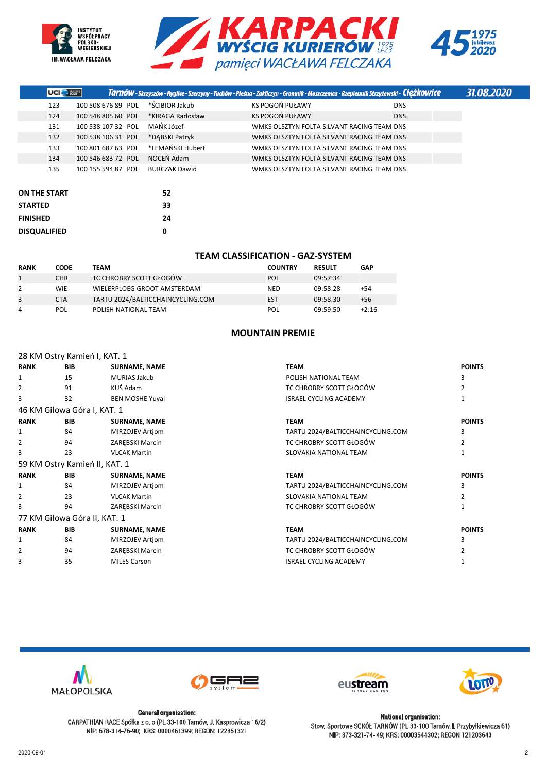





| <b>UCIE</b> Hotel |                    |                      | Tarnów - Skrzyszów - Ryglice - Szerzyny - Tuchów - Pleśna - Zakliczyn - Gromnik - Moszczenica - Rzepiennik Strzyżewski - Ciężkowice |            | 31.08.2020 |
|-------------------|--------------------|----------------------|-------------------------------------------------------------------------------------------------------------------------------------|------------|------------|
| 123               | 100 508 676 89 POL | *ŚCIBIOR Jakub       | KS POGOŃ PUŁAWY                                                                                                                     | <b>DNS</b> |            |
| 124               | 100 548 805 60 POL | *KIRAGA Radosław     | KS POGOŃ PUŁAWY                                                                                                                     | <b>DNS</b> |            |
| 131               | 100 538 107 32 POL | MAŃK Józef           | WMKS OLSZTYN FOLTA SILVANT RACING TEAM DNS                                                                                          |            |            |
| 132               | 100 538 106 31 POL | *DABSKI Patryk       | WMKS OLSZTYN FOLTA SILVANT RACING TEAM DNS                                                                                          |            |            |
| 133               | 100 801 687 63 POL | *LEMAŃSKI Hubert     | WMKS OLSZTYN FOLTA SILVANT RACING TEAM DNS                                                                                          |            |            |
| 134               | 100 546 683 72 POL | NOCEN Adam           | WMKS OLSZTYN FOLTA SILVANT RACING TEAM DNS                                                                                          |            |            |
| 135               | 100 155 594 87 POL | <b>BURCZAK Dawid</b> | WMKS OLSZTYN FOLTA SILVANT RACING TEAM DNS                                                                                          |            |            |
|                   |                    |                      |                                                                                                                                     |            |            |
|                   |                    |                      |                                                                                                                                     |            |            |

| <b>ON THE START</b> | 52 |
|---------------------|----|
| <b>STARTED</b>      | 33 |
| <b>FINISHED</b>     | 24 |
| <b>DISQUALIFIED</b> | n  |

### **TEAM CLASSIFICATION - GAZ-SYSTEM**

| <b>RANK</b> | <b>CODE</b> | TEAM                              | <b>COUNTRY</b> | <b>RESULT</b> | <b>GAP</b> |
|-------------|-------------|-----------------------------------|----------------|---------------|------------|
|             | <b>CHR</b>  | TC CHROBRY SCOTT GŁOGÓW           | POL            | 09:57:34      |            |
| 2           | <b>WIE</b>  | WIELERPLOEG GROOT AMSTERDAM       | <b>NED</b>     | 09:58:28      | +54        |
| 3           | <b>CTA</b>  | TARTU 2024/BALTICCHAINCYCLING.COM | EST            | 09:58:30      | $+56$      |
| 4           | POL         | POLISH NATIONAL TEAM              | POL            | 09:59:50      | $+2:16$    |

### **MOUNTAIN PREMIE**

|                | 28 KM Ostry Kamień I, KAT. 1  |                        |                                   |               |
|----------------|-------------------------------|------------------------|-----------------------------------|---------------|
| <b>RANK</b>    | <b>BIB</b>                    | <b>SURNAME, NAME</b>   | <b>TEAM</b>                       | <b>POINTS</b> |
| 1              | 15                            | MURIAS Jakub           | POLISH NATIONAL TEAM              | 3             |
| 2              | 91                            | KUŚ Adam               | TC CHROBRY SCOTT GŁOGÓW           |               |
| 3              | 32                            | <b>BEN MOSHE Yuval</b> | <b>ISRAEL CYCLING ACADEMY</b>     |               |
|                | 46 KM Gilowa Góra I, KAT. 1   |                        |                                   |               |
| <b>RANK</b>    | <b>BIB</b>                    | <b>SURNAME, NAME</b>   | <b>TEAM</b>                       | <b>POINTS</b> |
| 1              | 84                            | MIRZOJEV Artjom        | TARTU 2024/BALTICCHAINCYCLING.COM | 3             |
| 2              | 94                            | ZAREBSKI Marcin        | TC CHROBRY SCOTT GŁOGÓW           |               |
| 3              | 23                            | <b>VLCAK Martin</b>    | SLOVAKIA NATIONAL TEAM            |               |
|                | 59 KM Ostry Kamień II, KAT. 1 |                        |                                   |               |
| <b>RANK</b>    | <b>BIB</b>                    | <b>SURNAME, NAME</b>   | <b>TEAM</b>                       | <b>POINTS</b> |
| 1              | 84                            | MIRZOJEV Artiom        | TARTU 2024/BALTICCHAINCYCLING.COM | 3             |
| $\overline{2}$ | 23                            | <b>VLCAK Martin</b>    | SLOVAKIA NATIONAL TEAM            |               |
| 3              | 94                            | ZAREBSKI Marcin        | TC CHROBRY SCOTT GŁOGÓW           |               |
|                | 77 KM Gilowa Góra II, KAT. 1  |                        |                                   |               |
| <b>RANK</b>    | <b>BIB</b>                    | <b>SURNAME, NAME</b>   | <b>TEAM</b>                       | <b>POINTS</b> |
| 1              | 84                            | MIRZOJEV Artjom        | TARTU 2024/BALTICCHAINCYCLING.COM | 3             |
| 2              | 94                            | ZAREBSKI Marcin        | TC CHROBRY SCOTT GŁOGÓW           | 2             |
| 3              | 35                            | <b>MILES Carson</b>    | <b>ISRAEL CYCLING ACADEMY</b>     |               |
|                |                               |                        |                                   |               |









**General organisation:** CARPATHIAN RACE Spółka z o. o (PL 33-100 Tarnów, J. Kasprowicza 16/2) NIP: 678-314-76-90; KRS: 0000461399; REGON: 122851321

**National organisation:** Stow. Sportowe SOKÓŁ TARNÓW (PL 33-100 Tarnów, I. Przybyłkiewicza 61) NIP: 873-321-74-49; KRS: 00003544302; REGON 121203643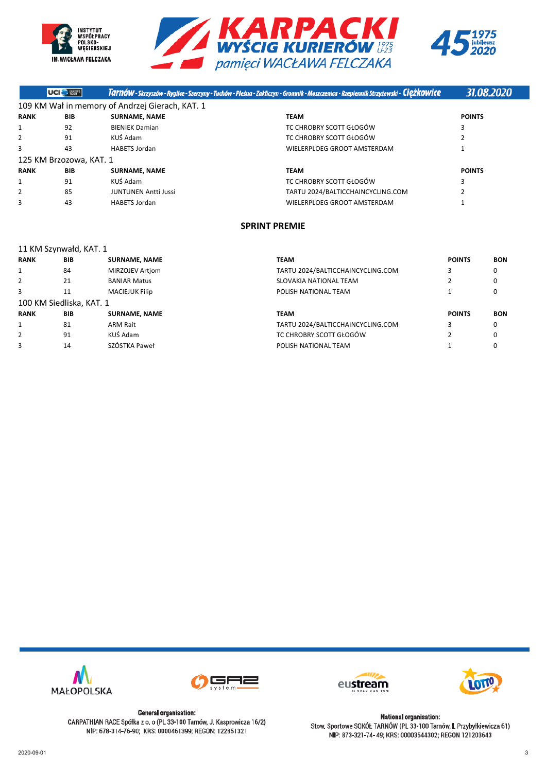





|             | UCI <sup>C</sup> Haven  |                                                 | Tarnów - Skrzyszów - Ryglice - Szerzyny - Tuchów - Pleśna - Zakliczyn - Gromnik - Moszczenica - Rzepiennik Strzyżewski - Ciężkowice | 31.08.2020     |  |
|-------------|-------------------------|-------------------------------------------------|-------------------------------------------------------------------------------------------------------------------------------------|----------------|--|
|             |                         | 109 KM Wał in memory of Andrzej Gierach, KAT. 1 |                                                                                                                                     |                |  |
| <b>RANK</b> | <b>BIB</b>              | <b>SURNAME, NAME</b>                            | <b>TEAM</b>                                                                                                                         | <b>POINTS</b>  |  |
|             | 92                      | <b>BIENIEK Damian</b>                           | TC CHROBRY SCOTT GŁOGÓW                                                                                                             | 3              |  |
|             | 91                      | KUŚ Adam                                        | TC CHROBRY SCOTT GŁOGÓW                                                                                                             |                |  |
|             | 43                      | <b>HABETS Jordan</b>                            | WIELERPLOEG GROOT AMSTERDAM                                                                                                         |                |  |
|             | 125 KM Brzozowa, KAT. 1 |                                                 |                                                                                                                                     |                |  |
| <b>RANK</b> | <b>BIB</b>              | <b>SURNAME, NAME</b>                            | <b>TEAM</b>                                                                                                                         | <b>POINTS</b>  |  |
|             | 91                      | KUŚ Adam                                        | TC CHROBRY SCOTT GŁOGÓW                                                                                                             | 3              |  |
|             | 85                      | <b>JUNTUNEN Antti Jussi</b>                     | TARTU 2024/BALTICCHAINCYCLING.COM                                                                                                   | $\overline{2}$ |  |
|             | 43                      | <b>HABETS Jordan</b>                            | WIELERPLOEG GROOT AMSTERDAM                                                                                                         |                |  |
|             |                         |                                                 |                                                                                                                                     |                |  |

# **SPRINT PREMIE**

| 11 KM Szynwałd, KAT. 1 |                          |                       |                                   |               |            |  |  |
|------------------------|--------------------------|-----------------------|-----------------------------------|---------------|------------|--|--|
| <b>RANK</b>            | <b>BIB</b>               | <b>SURNAME, NAME</b>  | <b>TEAM</b>                       | <b>POINTS</b> | <b>BON</b> |  |  |
| 1                      | 84                       | MIRZOJEV Artiom       | TARTU 2024/BALTICCHAINCYCLING.COM | 3             | 0          |  |  |
| 2                      | 21                       | <b>BANIAR Matus</b>   | SLOVAKIA NATIONAL TEAM            |               | 0          |  |  |
| 3                      | 11                       | <b>MACIEJUK Filip</b> | POLISH NATIONAL TEAM              |               | 0          |  |  |
|                        | 100 KM Siedliska, KAT. 1 |                       |                                   |               |            |  |  |
| <b>RANK</b>            | <b>BIB</b>               | <b>SURNAME, NAME</b>  | <b>TEAM</b>                       | <b>POINTS</b> | <b>BON</b> |  |  |
| 1                      | 81                       | <b>ARM Rait</b>       | TARTU 2024/BALTICCHAINCYCLING.COM | 3             | 0          |  |  |
| 2                      | 91                       | KUŚ Adam              | TC CHROBRY SCOTT GŁOGÓW           |               | 0          |  |  |
| 3                      | 14                       | SZÓSTKA Paweł         | POLISH NATIONAL TEAM              |               | 0          |  |  |









**National organisation:** Stow. Sportowe SOKÓŁ TARNÓW (PL 33-100 Tarnów, I. Przybyłkiewicza 61) NIP: 873-321-74-49; KRS: 00003544302; REGON 121203643

CARPATHIAN RACE Spółka z o. o (PL 33-100 Tarnów, J. Kasprowicza 16/2) NIP: 678-314-76-90; KRS: 0000461399; REGON: 122851321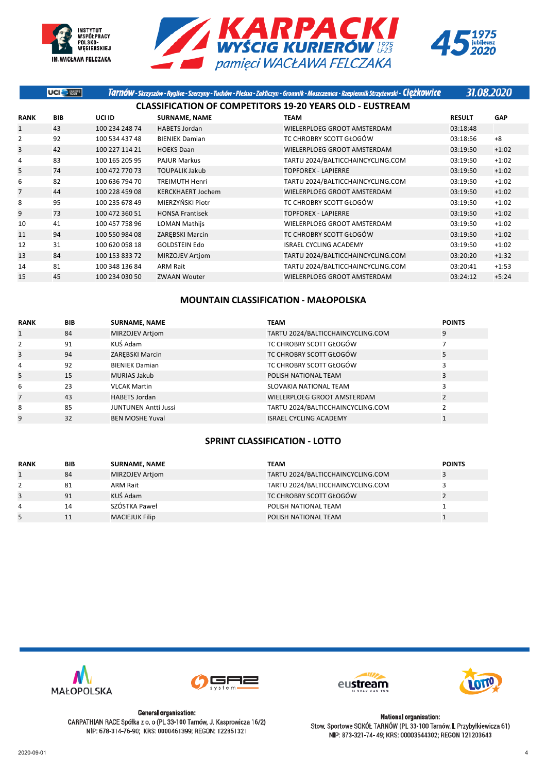





|                | UCI <sup>O</sup> there |                |                          | Tarnów - Skrzyszów - Ryglice - Szerzyny - Tuchów - Pleśna - Zakliczyn - Gromnik - Moszczenica - Rzepiennik Strzyżewski - Ciężkowice | 31.08.2020    |            |
|----------------|------------------------|----------------|--------------------------|-------------------------------------------------------------------------------------------------------------------------------------|---------------|------------|
|                |                        |                |                          | <b>CLASSIFICATION OF COMPETITORS 19-20 YEARS OLD - EUSTREAM</b>                                                                     |               |            |
| <b>RANK</b>    | <b>BIB</b>             | UCI ID         | <b>SURNAME, NAME</b>     | <b>TEAM</b>                                                                                                                         | <b>RESULT</b> | <b>GAP</b> |
| $\mathbf{1}$   | 43                     | 100 234 248 74 | <b>HABETS Jordan</b>     | WIELERPLOEG GROOT AMSTERDAM                                                                                                         | 03:18:48      |            |
| 2              | 92                     | 100 534 437 48 | <b>BIENIEK Damian</b>    | TC CHROBRY SCOTT GŁOGÓW                                                                                                             | 03:18:56      | $+8$       |
| 3              | 42                     | 100 227 114 21 | <b>HOEKS Daan</b>        | WIELERPLOEG GROOT AMSTERDAM                                                                                                         | 03:19:50      | $+1:02$    |
| 4              | 83                     | 100 165 205 95 | <b>PAJUR Markus</b>      | TARTU 2024/BALTICCHAINCYCLING.COM                                                                                                   | 03:19:50      | $+1:02$    |
| 5              | 74                     | 100 472 770 73 | <b>TOUPALIK Jakub</b>    | <b>TOPFOREX - LAPIERRE</b>                                                                                                          | 03:19:50      | $+1:02$    |
| 6              | 82                     | 100 636 794 70 | <b>TREIMUTH Henri</b>    | TARTU 2024/BALTICCHAINCYCLING.COM                                                                                                   | 03:19:50      | $+1:02$    |
| $\overline{7}$ | 44                     | 100 228 459 08 | <b>KERCKHAERT Jochem</b> | WIELERPLOEG GROOT AMSTERDAM                                                                                                         | 03:19:50      | $+1:02$    |
| 8              | 95                     | 100 235 678 49 | MIERZYŃSKI Piotr         | TC CHROBRY SCOTT GŁOGÓW                                                                                                             | 03:19:50      | $+1:02$    |
| 9              | 73                     | 100 472 360 51 | <b>HONSA Frantisek</b>   | <b>TOPFOREX - LAPIERRE</b>                                                                                                          | 03:19:50      | $+1:02$    |
| 10             | 41                     | 100 457 758 96 | <b>LOMAN Mathijs</b>     | WIELERPLOEG GROOT AMSTERDAM                                                                                                         | 03:19:50      | $+1:02$    |
| 11             | 94                     | 100 550 984 08 | ZAREBSKI Marcin          | TC CHROBRY SCOTT GŁOGÓW                                                                                                             | 03:19:50      | $+1:02$    |
| 12             | 31                     | 100 620 058 18 | <b>GOLDSTEIN Edo</b>     | <b>ISRAEL CYCLING ACADEMY</b>                                                                                                       | 03:19:50      | $+1:02$    |
| 13             | 84                     | 100 153 833 72 | <b>MIRZOJEV Artiom</b>   | TARTU 2024/BALTICCHAINCYCLING.COM                                                                                                   | 03:20:20      | $+1:32$    |
| 14             | 81                     | 100 348 136 84 | <b>ARM Rait</b>          | TARTU 2024/BALTICCHAINCYCLING.COM                                                                                                   | 03:20:41      | $+1:53$    |
| 15             | 45                     | 100 234 030 50 | <b>ZWAAN Wouter</b>      | WIELERPLOEG GROOT AMSTERDAM                                                                                                         | 03:24:12      | $+5:24$    |

## **MOUNTAIN CLASSIFICATION - MAŁOPOLSKA**

| <b>RANK</b> | <b>BIB</b> | <b>SURNAME, NAME</b>        | <b>TEAM</b>                       | <b>POINTS</b> |
|-------------|------------|-----------------------------|-----------------------------------|---------------|
|             | 84         | MIRZOJEV Artjom             | TARTU 2024/BALTICCHAINCYCLING.COM | 9             |
| 2           | 91         | KUŚ Adam                    | TC CHROBRY SCOTT GŁOGÓW           |               |
| 3           | 94         | ZAREBSKI Marcin             | TC CHROBRY SCOTT GŁOGÓW           | 5             |
| 4           | 92         | <b>BIENIEK Damian</b>       | TC CHROBRY SCOTT GŁOGÓW           |               |
| 5           | 15         | <b>MURIAS Jakub</b>         | POLISH NATIONAL TEAM              | 3             |
| 6           | 23         | <b>VLCAK Martin</b>         | SLOVAKIA NATIONAL TEAM            |               |
| 7           | 43         | <b>HABETS Jordan</b>        | WIELERPLOEG GROOT AMSTERDAM       |               |
| 8           | 85         | <b>JUNTUNEN Antti Jussi</b> | TARTU 2024/BALTICCHAINCYCLING.COM |               |
| 9           | 32         | <b>BEN MOSHE Yuval</b>      | <b>ISRAEL CYCLING ACADEMY</b>     |               |

## **SPRINT CLASSIFICATION - LOTTO**

| <b>RANK</b> | <b>BIB</b> | <b>SURNAME, NAME</b>  | TEAM                              | <b>POINTS</b> |
|-------------|------------|-----------------------|-----------------------------------|---------------|
|             | 84         | MIRZOJEV Artjom       | TARTU 2024/BALTICCHAINCYCLING.COM |               |
|             | 81         | <b>ARM Rait</b>       | TARTU 2024/BALTICCHAINCYCLING.COM |               |
| 3           | 91         | KUŚ Adam              | TC CHROBRY SCOTT GŁOGÓW           |               |
| 4           | 14         | SZÓSTKA Paweł         | POLISH NATIONAL TEAM              |               |
|             | 11         | <b>MACIEJUK Filip</b> | POLISH NATIONAL TEAM              |               |









**General organisation:** CARPATHIAN RACE Spółka z o. o (PL 33-100 Tarnów, J. Kasprowicza 16/2) NIP: 678-314-76-90; KRS: 0000461399; REGON: 122851321